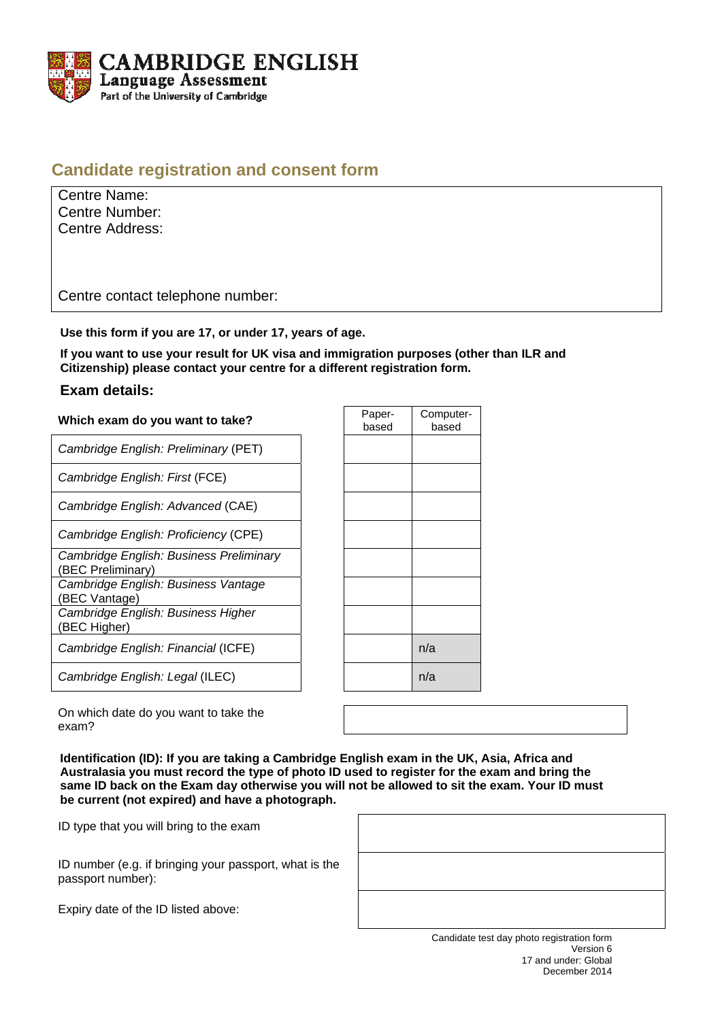

## **Candidate registration and consent form**

| Centre Name:          |
|-----------------------|
| <b>Centre Number:</b> |
| Centre Address:       |

Centre contact telephone number:

**Use this form if you are 17, or under 17, years of age.** 

**If you want to use your result for UK visa and immigration purposes (other than ILR and Citizenship) please contact your centre for a different registration form.** 

## **Exam details:**

| Which exam do you want to take?                              | Paper-<br>based | Con<br>b |
|--------------------------------------------------------------|-----------------|----------|
| Cambridge English: Preliminary (PET)                         |                 |          |
| Cambridge English: First (FCE)                               |                 |          |
| Cambridge English: Advanced (CAE)                            |                 |          |
| Cambridge English: Proficiency (CPE)                         |                 |          |
| Cambridge English: Business Preliminary<br>(BEC Preliminary) |                 |          |
| Cambridge English: Business Vantage<br>(BEC Vantage)         |                 |          |
| Cambridge English: Business Higher<br>(BEC Higher)           |                 |          |
| Cambridge English: Financial (ICFE)                          |                 | n/a      |
| Cambridge English: Legal (ILEC)                              |                 | n/a      |

| Paper- | Computer- |
|--------|-----------|
| based  | based     |
|        |           |
|        |           |
|        |           |
|        |           |
|        |           |
|        |           |
|        |           |
|        |           |
|        |           |
|        |           |
|        |           |
|        |           |
|        |           |
|        |           |
|        |           |
|        |           |
|        |           |
|        |           |
|        | n/a       |
|        |           |
|        | n/a       |
|        |           |

On which date do you want to take the exam?

**Identification (ID): If you are taking a Cambridge English exam in the UK, Asia, Africa and Australasia you must record the type of photo ID used to register for the exam and bring the same ID back on the Exam day otherwise you will not be allowed to sit the exam. Your ID must be current (not expired) and have a photograph.** 

ID type that you will bring to the exam

ID number (e.g. if bringing your passport, what is the passport number):

Expiry date of the ID listed above:

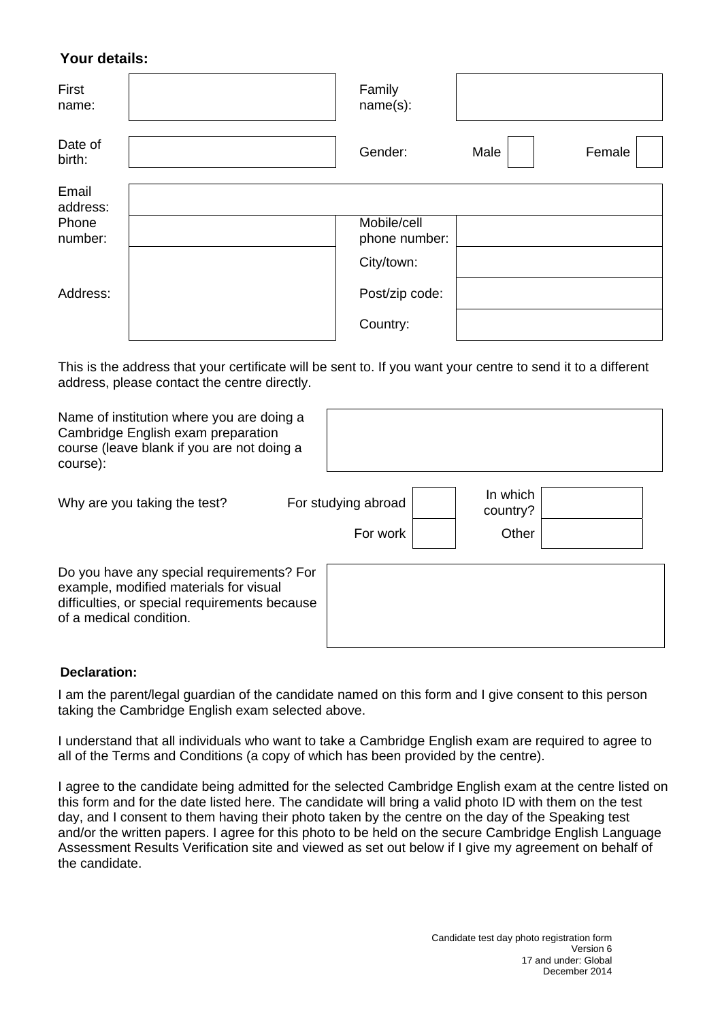## **Your details:**

| First<br>name:    | Family<br>name(s):           |      |        |
|-------------------|------------------------------|------|--------|
| Date of<br>birth: | Gender:                      | Male | Female |
| Email<br>address: |                              |      |        |
| Phone<br>number:  | Mobile/cell<br>phone number: |      |        |
|                   | City/town:                   |      |        |
| Address:          | Post/zip code:               |      |        |
|                   | Country:                     |      |        |

This is the address that your certificate will be sent to. If you want your centre to send it to a different address, please contact the centre directly.

| Name of institution where you are doing a<br>Cambridge English exam preparation<br>course (leave blank if you are not doing a<br>course):                       |                                 |                               |  |
|-----------------------------------------------------------------------------------------------------------------------------------------------------------------|---------------------------------|-------------------------------|--|
| Why are you taking the test?                                                                                                                                    | For studying abroad<br>For work | In which<br>country?<br>Other |  |
| Do you have any special requirements? For<br>example, modified materials for visual<br>difficulties, or special requirements because<br>of a medical condition. |                                 |                               |  |

## **Declaration:**

I am the parent/legal guardian of the candidate named on this form and I give consent to this person taking the Cambridge English exam selected above.

I understand that all individuals who want to take a Cambridge English exam are required to agree to all of the Terms and Conditions (a copy of which has been provided by the centre).

I agree to the candidate being admitted for the selected Cambridge English exam at the centre listed on this form and for the date listed here. The candidate will bring a valid photo ID with them on the test day, and I consent to them having their photo taken by the centre on the day of the Speaking test and/or the written papers. I agree for this photo to be held on the secure Cambridge English Language Assessment Results Verification site and viewed as set out below if I give my agreement on behalf of the candidate.